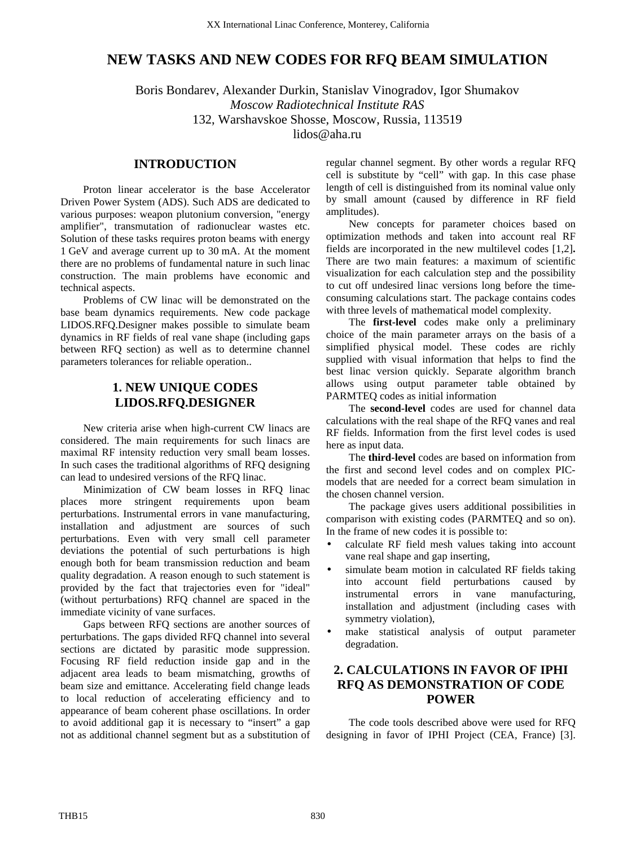# **NEW TASKS AND NEW CODES FOR RFQ BEAM SIMULATION**

Boris Bondarev, Alexander Durkin, Stanislav Vinogradov, Igor Shumakov *Moscow Radiotechnical Institute RAS* 132, Warshavskoe Shosse, Moscow, Russia, 113519 lidos@aha.ru

#### **INTRODUCTION**

Proton linear accelerator is the base Accelerator Driven Power System (ADS). Such ADS are dedicated to various purposes: weapon plutonium conversion, "energy amplifier", transmutation of radionuclear wastes etc. Solution of these tasks requires proton beams with energy 1 GeV and average current up to 30 mA. At the moment there are no problems of fundamental nature in such linac construction. The main problems have economic and technical aspects.

Problems of CW linac will be demonstrated on the base beam dynamics requirements. New code package LIDOS.RFQ.Designer makes possible to simulate beam dynamics in RF fields of real vane shape (including gaps between RFQ section) as well as to determine channel parameters tolerances for reliable operation..

## **1. NEW UNIQUE CODES LIDOS.RFQ.DESIGNER**

New criteria arise when high-current CW linacs are considered. The main requirements for such linacs are maximal RF intensity reduction very small beam losses. In such cases the traditional algorithms of RFQ designing can lead to undesired versions of the RFQ linac.

Minimization of CW beam losses in RFQ linac places more stringent requirements upon beam perturbations. Instrumental errors in vane manufacturing, installation and adjustment are sources of such perturbations. Even with very small cell parameter deviations the potential of such perturbations is high enough both for beam transmission reduction and beam quality degradation. A reason enough to such statement is provided by the fact that trajectories even for "ideal" (without perturbations) RFQ channel are spaced in the immediate vicinity of vane surfaces.

Gaps between RFQ sections are another sources of perturbations. The gaps divided RFQ channel into several sections are dictated by parasitic mode suppression. Focusing RF field reduction inside gap and in the adjacent area leads to beam mismatching, growths of beam size and emittance. Accelerating field change leads to local reduction of accelerating efficiency and to appearance of beam coherent phase oscillations. In order to avoid additional gap it is necessary to "insert" a gap not as additional channel segment but as a substitution of regular channel segment. By other words a regular RFQ cell is substitute by "cell" with gap. In this case phase length of cell is distinguished from its nominal value only by small amount (caused by difference in RF field amplitudes).

New concepts for parameter choices based on optimization methods and taken into account real RF fields are incorporated in the new multilevel codes [1,2]**.** There are two main features: a maximum of scientific visualization for each calculation step and the possibility to cut off undesired linac versions long before the timeconsuming calculations start. The package contains codes with three levels of mathematical model complexity.

The **first-level** codes make only a preliminary choice of the main parameter arrays on the basis of a simplified physical model. These codes are richly supplied with visual information that helps to find the best linac version quickly. Separate algorithm branch allows using output parameter table obtained by PARMTEQ codes as initial information

The **second-level** codes are used for channel data calculations with the real shape of the RFQ vanes and real RF fields. Information from the first level codes is used here as input data.

The **third-level** codes are based on information from the first and second level codes and on complex PICmodels that are needed for a correct beam simulation in the chosen channel version.

The package gives users additional possibilities in comparison with existing codes (PARMTEQ and so on). In the frame of new codes it is possible to:

- calculate RF field mesh values taking into account vane real shape and gap inserting,
- simulate beam motion in calculated RF fields taking into account field perturbations caused by instrumental errors in vane manufacturing, installation and adjustment (including cases with symmetry violation),
- make statistical analysis of output parameter degradation.

## **2. CALCULATIONS IN FAVOR OF IPHI RFQ AS DEMONSTRATION OF CODE POWER**

The code tools described above were used for RFQ designing in favor of IPHI Project (CEA, France) [3].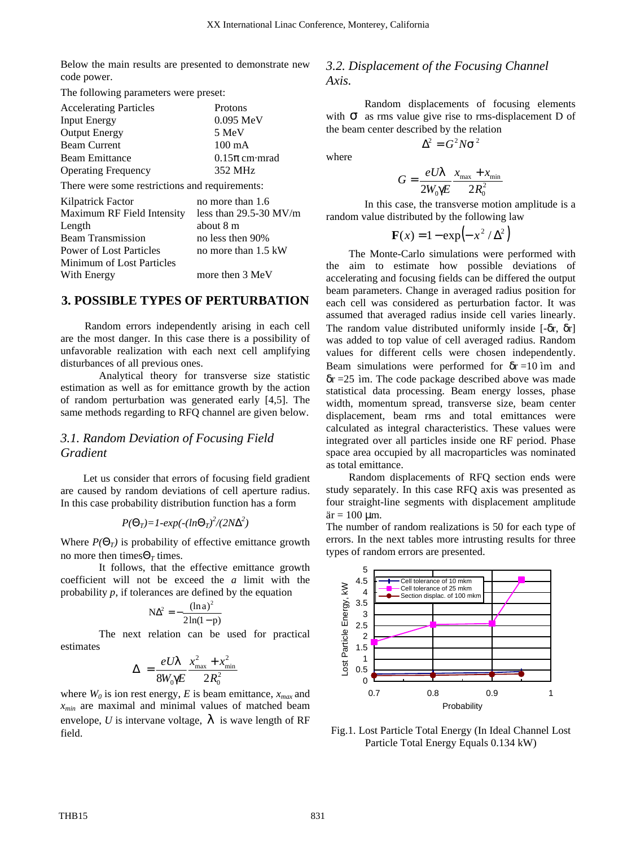Below the main results are presented to demonstrate new code power.

The following parameters were preset:

| <b>Accelerating Particles</b>                  | Protons                    |
|------------------------------------------------|----------------------------|
| <b>Input Energy</b>                            | $0.095$ MeV                |
| <b>Output Energy</b>                           | 5 MeV                      |
| <b>Beam Current</b>                            | $100 \text{ mA}$           |
| <b>Beam Emittance</b>                          | $0.15\pi$ cm mrad          |
| <b>Operating Frequency</b>                     | 352 MHz                    |
| There were some restrictions and requirements: |                            |
| Kilpatrick Factor                              | no more than 1.6           |
| Maximum RF Field Intensity                     | less than $29.5 - 30$ MV/m |
| Length                                         | about 8 m                  |
| <b>Beam Transmission</b>                       | no less then 90%           |
| Power of Lost Particles                        | no more than 1.5 kW        |
| Minimum of Lost Particles                      |                            |
| With Energy                                    | more then 3 MeV            |
|                                                |                            |

### **3. POSSIBLE TYPES OF PERTURBATION**

Random errors independently arising in each cell are the most danger. In this case there is a possibility of unfavorable realization with each next cell amplifying disturbances of all previous ones.

Analytical theory for transverse size statistic estimation as well as for emittance growth by the action of random perturbation was generated early [4,5]. The same methods regarding to RFQ channel are given below.

#### *3.1. Random Deviation of Focusing Field Gradient*

Let us consider that errors of focusing field gradient are caused by random deviations of cell aperture radius. In this case probability distribution function has a form

$$
P(\mathbf{Q}_T) = 1-\exp(-(ln \mathbf{Q}_T)^2/(2N\mathbf{D}^2)
$$

Where  $P(Q_T)$  is probability of effective emittance growth no more then times $Q<sub>r</sub>$  times.

It follows, that the effective emittance growth coefficient will not be exceed the *a* limit with the probability  $p$ , if tolerances are defined by the equation

$$
N\Delta^2 = -\frac{(\ln a)^2}{2\ln(1-p)}
$$

The next relation can be used for practical estimates

$$
\Delta = \frac{eU\mathbf{I}}{8W_0\mathbf{g}E} \frac{x_{\text{max}}^2 + x_{\text{min}}^2}{2R_0^2}
$$

where  $W_0$  is ion rest energy, *E* is beam emittance,  $x_{max}$  and *xmin* are maximal and minimal values of matched beam envelope, *U* is intervane voltage,  $\bf{l}$  is wave length of RF field.

#### *3.2. Displacement of the Focusing Channel Axis.*

Random displacements of focusing elements with **S** as rms value give rise to rms-displacement D of the beam center described by the relation

 $\Lambda^2 = G^2 N s^2$ 

where

$$
G = \frac{eUI}{2W_0gE} \frac{x_{\text{max}} + x_{\text{min}}}{2R_0^2}
$$

In this case, the transverse motion amplitude is a random value distributed by the following law

$$
\mathbf{F}(x) = 1 - \exp(-x^2/\Delta^2)
$$

The Monte-Carlo simulations were performed with the aim to estimate how possible deviations of accelerating and focusing fields can be differed the output beam parameters. Change in averaged radius position for each cell was considered as perturbation factor. It was assumed that averaged radius inside cell varies linearly. The random value distributed uniformly inside [-δr, δr] was added to top value of cell averaged radius. Random values for different cells were chosen independently. Beam simulations were performed for  $\delta r = 10$  im and δr =25 ìm. The code package described above was made statistical data processing. Beam energy losses, phase width, momentum spread, transverse size, beam center displacement, beam rms and total emittances were calculated as integral characteristics. These values were integrated over all particles inside one RF period. Phase space area occupied by all macroparticles was nominated as total emittance.

Random displacements of RFQ section ends were study separately. In this case RFQ axis was presented as four straight-line segments with displacement amplitude  $\ddot{a}r = 100$  um.

The number of random realizations is 50 for each type of errors. In the next tables more intrusting results for three types of random errors are presented.



Fig.1. Lost Particle Total Energy (In Ideal Channel Lost Particle Total Energy Equals 0.134 kW)